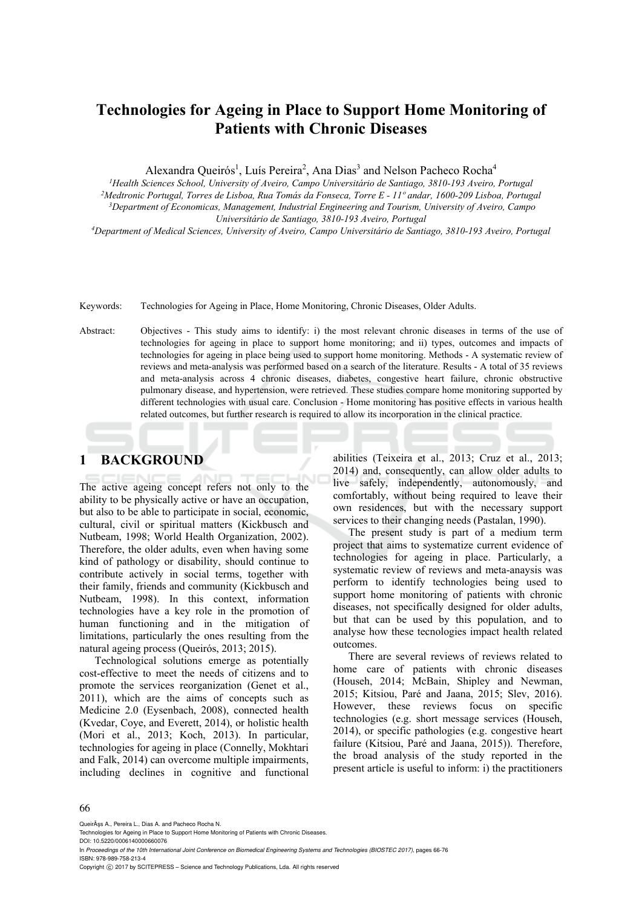# **Technologies for Ageing in Place to Support Home Monitoring of Patients with Chronic Diseases**

Alexandra Queirós<sup>1</sup>, Luís Pereira<sup>2</sup>, Ana Dias<sup>3</sup> and Nelson Pacheco Rocha<sup>4</sup>

<sup>1</sup>Health Sciences School, University of Aveiro, Campo Universitário de Santiago, 3810-193 Aveiro, Portugal<br><sup>2</sup>Medtronic Portugal, Torres de Lisboa, Rua Tomás da Fonseca, Torre E - 11<sup>o</sup> andar, 1600-209 Lisboa, Portugal<br><sup></sup>

*Universitário de Santiago, 3810-193 Aveiro, Portugal 4Department of Medical Sciences, University of Aveiro, Campo Universitário de Santiago, 3810-193 Aveiro, Portugal* 

Keywords: Technologies for Ageing in Place, Home Monitoring, Chronic Diseases, Older Adults.

Abstract: Objectives - This study aims to identify: i) the most relevant chronic diseases in terms of the use of technologies for ageing in place to support home monitoring; and ii) types, outcomes and impacts of technologies for ageing in place being used to support home monitoring. Methods - A systematic review of reviews and meta-analysis was performed based on a search of the literature. Results - A total of 35 reviews and meta-analysis across 4 chronic diseases, diabetes, congestive heart failure, chronic obstructive pulmonary disease, and hypertension, were retrieved. These studies compare home monitoring supported by different technologies with usual care. Conclusion - Home monitoring has positive effects in various health related outcomes, but further research is required to allow its incorporation in the clinical practice.

## **1 BACKGROUND**

The active ageing concept refers not only to the ability to be physically active or have an occupation, but also to be able to participate in social, economic, cultural, civil or spiritual matters (Kickbusch and Nutbeam, 1998; World Health Organization, 2002). Therefore, the older adults, even when having some kind of pathology or disability, should continue to contribute actively in social terms, together with their family, friends and community (Kickbusch and Nutbeam, 1998). In this context, information technologies have a key role in the promotion of human functioning and in the mitigation of limitations, particularly the ones resulting from the natural ageing process (Queirós, 2013; 2015).

Technological solutions emerge as potentially cost-effective to meet the needs of citizens and to promote the services reorganization (Genet et al., 2011), which are the aims of concepts such as Medicine 2.0 (Eysenbach, 2008), connected health (Kvedar, Coye, and Everett, 2014), or holistic health (Mori et al., 2013; Koch, 2013). In particular, technologies for ageing in place (Connelly, Mokhtari and Falk, 2014) can overcome multiple impairments, including declines in cognitive and functional

abilities (Teixeira et al., 2013; Cruz et al., 2013; 2014) and, consequently, can allow older adults to live safely, independently, autonomously, and comfortably, without being required to leave their own residences, but with the necessary support services to their changing needs (Pastalan, 1990).

The present study is part of a medium term project that aims to systematize current evidence of technologies for ageing in place. Particularly, a systematic review of reviews and meta-anaysis was perform to identify technologies being used to support home monitoring of patients with chronic diseases, not specifically designed for older adults, but that can be used by this population, and to analyse how these tecnologies impact health related outcomes.

There are several reviews of reviews related to home care of patients with chronic diseases (Househ, 2014; McBain, Shipley and Newman, 2015; Kitsiou, Paré and Jaana, 2015; Slev, 2016). However, these reviews focus on specific technologies (e.g. short message services (Househ, 2014), or specific pathologies (e.g. congestive heart failure (Kitsiou, Paré and Jaana, 2015)). Therefore, the broad analysis of the study reported in the present article is useful to inform: i) the practitioners

#### 66

QueirÂss A., Pereira L., Dias A. and Pacheco Rocha N.

DOI: 10.5220/0006140000660076

In *Proceedings of the 10th International Joint Conference on Biomedical Engineering Systems and Technologies (BIOSTEC 2017)*, pages 66-76 ISBN: 978-989-758-213-4

Copyright © 2017 by SCITEPRESS - Science and Technology Publications, Lda. All rights reserved

Technologies for Ageing in Place to Support Home Monitoring of Patients with Chronic Diseases.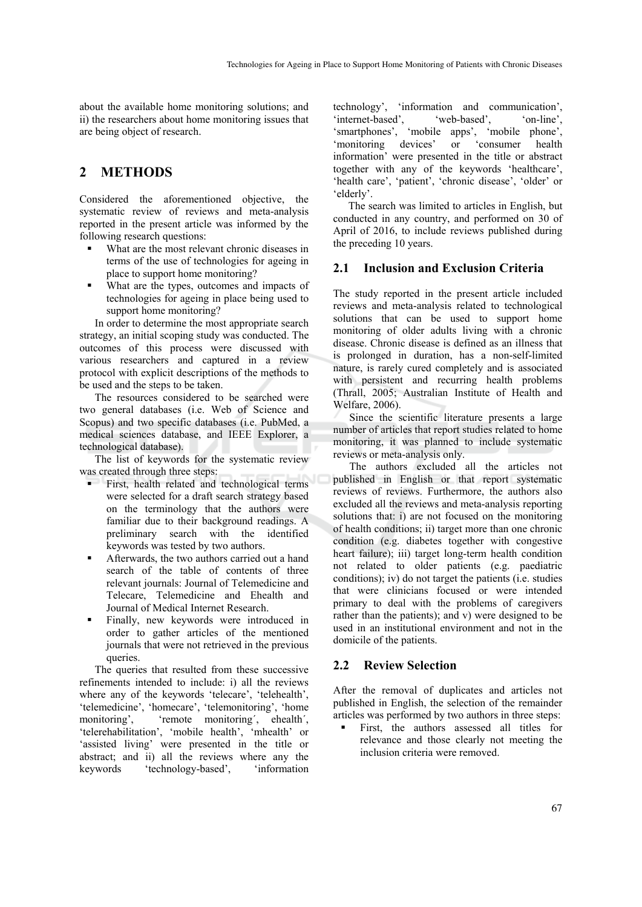about the available home monitoring solutions; and ii) the researchers about home monitoring issues that are being object of research.

### **2 METHODS**

Considered the aforementioned objective, the systematic review of reviews and meta-analysis reported in the present article was informed by the following research questions:

- What are the most relevant chronic diseases in terms of the use of technologies for ageing in place to support home monitoring?
- What are the types, outcomes and impacts of technologies for ageing in place being used to support home monitoring?

In order to determine the most appropriate search strategy, an initial scoping study was conducted. The outcomes of this process were discussed with various researchers and captured in a review protocol with explicit descriptions of the methods to be used and the steps to be taken.

The resources considered to be searched were two general databases (i.e. Web of Science and Scopus) and two specific databases (i.e. PubMed, a medical sciences database, and IEEE Explorer, a technological database).

The list of keywords for the systematic review was created through three steps:

- First, health related and technological terms were selected for a draft search strategy based on the terminology that the authors were familiar due to their background readings. A preliminary search with the identified keywords was tested by two authors.
- Afterwards, the two authors carried out a hand search of the table of contents of three relevant journals: Journal of Telemedicine and Telecare, Telemedicine and Ehealth and Journal of Medical Internet Research.
- Finally, new keywords were introduced in order to gather articles of the mentioned journals that were not retrieved in the previous queries.

The queries that resulted from these successive refinements intended to include: i) all the reviews where any of the keywords 'telecare', 'telehealth', 'telemedicine', 'homecare', 'telemonitoring', 'home monitoring', 'remote monitoring´, ehealth´, 'telerehabilitation', 'mobile health', 'mhealth' or 'assisted living' were presented in the title or abstract; and ii) all the reviews where any the keywords 'technology-based', 'information

technology', 'information and communication', 'internet-based', 'web-based', 'on-line', 'smartphones', 'mobile apps', 'mobile phone', 'monitoring devices' or 'consumer health information' were presented in the title or abstract together with any of the keywords 'healthcare', 'health care', 'patient', 'chronic disease', 'older' or 'elderly'.

The search was limited to articles in English, but conducted in any country, and performed on 30 of April of 2016, to include reviews published during the preceding 10 years.

#### **2.1 Inclusion and Exclusion Criteria**

The study reported in the present article included reviews and meta-analysis related to technological solutions that can be used to support home monitoring of older adults living with a chronic disease. Chronic disease is defined as an illness that is prolonged in duration, has a non-self-limited nature, is rarely cured completely and is associated with persistent and recurring health problems (Thrall, 2005; Australian Institute of Health and Welfare, 2006).

Since the scientific literature presents a large number of articles that report studies related to home monitoring, it was planned to include systematic reviews or meta-analysis only.

The authors excluded all the articles not published in English or that report systematic reviews of reviews. Furthermore, the authors also excluded all the reviews and meta-analysis reporting solutions that: i) are not focused on the monitoring of health conditions; ii) target more than one chronic condition (e.g. diabetes together with congestive heart failure); iii) target long-term health condition not related to older patients (e.g. paediatric conditions); iv) do not target the patients (i.e. studies that were clinicians focused or were intended primary to deal with the problems of caregivers rather than the patients); and v) were designed to be used in an institutional environment and not in the domicile of the patients.

#### **2.2 Review Selection**

After the removal of duplicates and articles not published in English, the selection of the remainder articles was performed by two authors in three steps:

 First, the authors assessed all titles for relevance and those clearly not meeting the inclusion criteria were removed.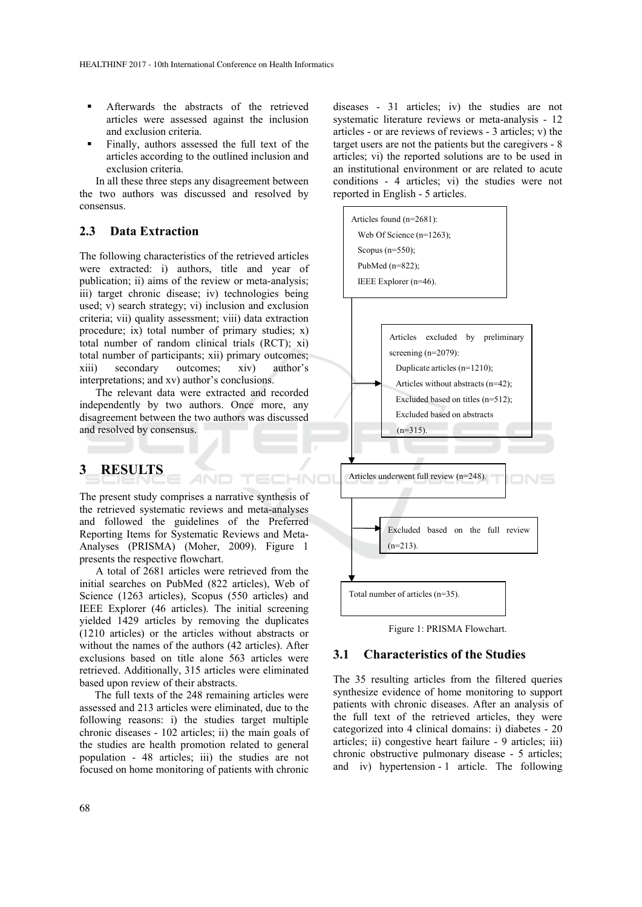- Afterwards the abstracts of the retrieved articles were assessed against the inclusion and exclusion criteria.
- Finally, authors assessed the full text of the articles according to the outlined inclusion and exclusion criteria.

In all these three steps any disagreement between the two authors was discussed and resolved by consensus.

#### **2.3 Data Extraction**

The following characteristics of the retrieved articles were extracted: i) authors, title and year of publication; ii) aims of the review or meta-analysis; iii) target chronic disease; iv) technologies being used; v) search strategy; vi) inclusion and exclusion criteria; vii) quality assessment; viii) data extraction procedure; ix) total number of primary studies; x) total number of random clinical trials (RCT); xi) total number of participants; xii) primary outcomes; xiii) secondary outcomes; xiv) author's interpretations; and xv) author's conclusions.

The relevant data were extracted and recorded independently by two authors. Once more, any disagreement between the two authors was discussed and resolved by consensus.

## **3 RESULTS**

The present study comprises a narrative synthesis of the retrieved systematic reviews and meta-analyses and followed the guidelines of the Preferred Reporting Items for Systematic Reviews and Meta-Analyses (PRISMA) (Moher, 2009). Figure 1 presents the respective flowchart.

AND

TECHNO

A total of 2681 articles were retrieved from the initial searches on PubMed (822 articles), Web of Science (1263 articles), Scopus (550 articles) and IEEE Explorer (46 articles). The initial screening yielded 1429 articles by removing the duplicates (1210 articles) or the articles without abstracts or without the names of the authors (42 articles). After exclusions based on title alone 563 articles were retrieved. Additionally, 315 articles were eliminated based upon review of their abstracts.

The full texts of the 248 remaining articles were assessed and 213 articles were eliminated, due to the following reasons: i) the studies target multiple chronic diseases - 102 articles; ii) the main goals of the studies are health promotion related to general population - 48 articles; iii) the studies are not focused on home monitoring of patients with chronic

diseases - 31 articles; iv) the studies are not systematic literature reviews or meta-analysis - 12 articles - or are reviews of reviews - 3 articles; v) the target users are not the patients but the caregivers - 8 articles; vi) the reported solutions are to be used in an institutional environment or are related to acute conditions - 4 articles; vi) the studies were not reported in English - 5 articles.



Figure 1: PRISMA Flowchart.

### **3.1 Characteristics of the Studies**

The 35 resulting articles from the filtered queries synthesize evidence of home monitoring to support patients with chronic diseases. After an analysis of the full text of the retrieved articles, they were categorized into 4 clinical domains: i) diabetes - 20 articles; ii) congestive heart failure - 9 articles; iii) chronic obstructive pulmonary disease - 5 articles; and iv) hypertension - 1 article. The following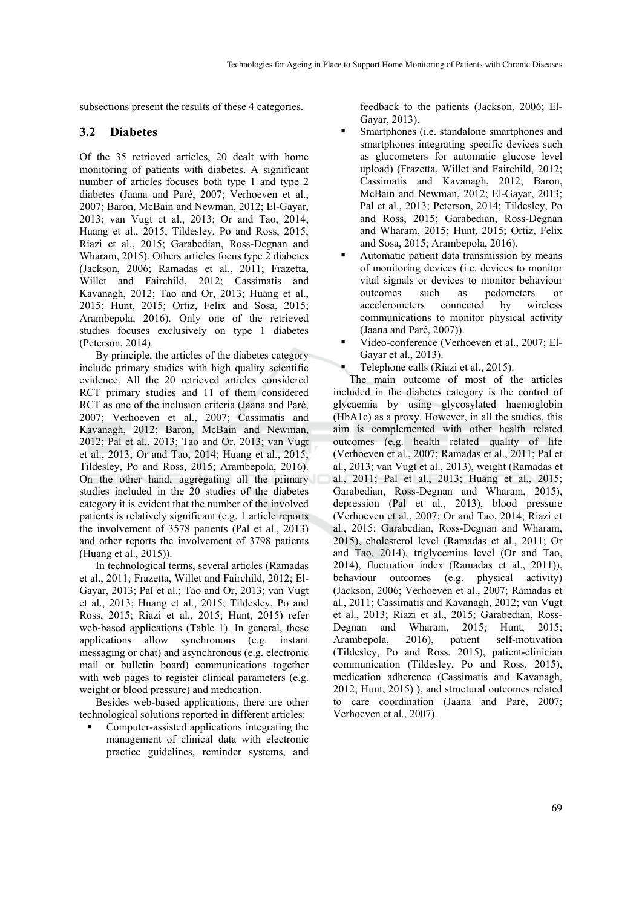subsections present the results of these 4 categories.

### **3.2 Diabetes**

Of the 35 retrieved articles, 20 dealt with home monitoring of patients with diabetes. A significant number of articles focuses both type 1 and type 2 diabetes (Jaana and Paré, 2007; Verhoeven et al., 2007; Baron, McBain and Newman, 2012; El-Gayar, 2013; van Vugt et al., 2013; Or and Tao, 2014; Huang et al., 2015; Tildesley, Po and Ross, 2015; Riazi et al., 2015; Garabedian, Ross-Degnan and Wharam, 2015). Others articles focus type 2 diabetes (Jackson, 2006; Ramadas et al., 2011; Frazetta, Willet and Fairchild, 2012; Cassimatis and Kavanagh, 2012; Tao and Or, 2013; Huang et al., 2015; Hunt, 2015; Ortiz, Felix and Sosa, 2015; Arambepola, 2016). Only one of the retrieved studies focuses exclusively on type 1 diabetes (Peterson, 2014).

By principle, the articles of the diabetes category include primary studies with high quality scientific evidence. All the 20 retrieved articles considered RCT primary studies and 11 of them considered RCT as one of the inclusion criteria (Jaana and Paré, 2007; Verhoeven et al., 2007; Cassimatis and Kavanagh, 2012; Baron, McBain and Newman, 2012; Pal et al., 2013; Tao and Or, 2013; van Vugt et al., 2013; Or and Tao, 2014; Huang et al., 2015; Tildesley, Po and Ross, 2015; Arambepola, 2016). On the other hand, aggregating all the primary studies included in the 20 studies of the diabetes category it is evident that the number of the involved patients is relatively significant (e.g. 1 article reports the involvement of 3578 patients (Pal et al., 2013) and other reports the involvement of 3798 patients (Huang et al., 2015)).

In technological terms, several articles (Ramadas et al., 2011; Frazetta, Willet and Fairchild, 2012; El-Gayar, 2013; Pal et al.; Tao and Or, 2013; van Vugt et al., 2013; Huang et al., 2015; Tildesley, Po and Ross, 2015; Riazi et al., 2015; Hunt, 2015) refer web-based applications (Table 1). In general, these applications allow synchronous (e.g. instant messaging or chat) and asynchronous (e.g. electronic mail or bulletin board) communications together with web pages to register clinical parameters (e.g. weight or blood pressure) and medication.

Besides web-based applications, there are other technological solutions reported in different articles:

 Computer-assisted applications integrating the management of clinical data with electronic practice guidelines, reminder systems, and

feedback to the patients (Jackson, 2006; El-Gayar, 2013).

- Smartphones (i.e. standalone smartphones and smartphones integrating specific devices such as glucometers for automatic glucose level upload) (Frazetta, Willet and Fairchild, 2012; Cassimatis and Kavanagh, 2012; Baron, McBain and Newman, 2012; El-Gayar, 2013; Pal et al., 2013; Peterson, 2014; Tildesley, Po and Ross, 2015; Garabedian, Ross-Degnan and Wharam, 2015; Hunt, 2015; Ortiz, Felix and Sosa, 2015; Arambepola, 2016).
- Automatic patient data transmission by means of monitoring devices (i.e. devices to monitor vital signals or devices to monitor behaviour outcomes such as pedometers or accelerometers connected by wireless communications to monitor physical activity (Jaana and Paré, 2007)).
- Video-conference (Verhoeven et al., 2007; El-Gayar et al., 2013).
- Telephone calls (Riazi et al., 2015).

The main outcome of most of the articles included in the diabetes category is the control of glycaemia by using glycosylated haemoglobin (HbA1c) as a proxy. However, in all the studies, this aim is complemented with other health related outcomes (e.g. health related quality of life (Verhoeven et al., 2007; Ramadas et al., 2011; Pal et al., 2013; van Vugt et al., 2013), weight (Ramadas et al., 2011; Pal et al., 2013; Huang et al., 2015; Garabedian, Ross-Degnan and Wharam, 2015), depression (Pal et al., 2013), blood pressure (Verhoeven et al., 2007; Or and Tao, 2014; Riazi et al., 2015; Garabedian, Ross-Degnan and Wharam, 2015), cholesterol level (Ramadas et al., 2011; Or and Tao, 2014), triglycemius level (Or and Tao, 2014), fluctuation index (Ramadas et al., 2011)), behaviour outcomes (e.g. physical activity) (Jackson, 2006; Verhoeven et al., 2007; Ramadas et al., 2011; Cassimatis and Kavanagh, 2012; van Vugt et al., 2013; Riazi et al., 2015; Garabedian, Ross-Degnan and Wharam, 2015; Hunt, 2015; Arambepola, 2016), patient self-motivation (Tildesley, Po and Ross, 2015), patient-clinician communication (Tildesley, Po and Ross, 2015), medication adherence (Cassimatis and Kavanagh, 2012; Hunt, 2015) ), and structural outcomes related to care coordination (Jaana and Paré, 2007; Verhoeven et al., 2007).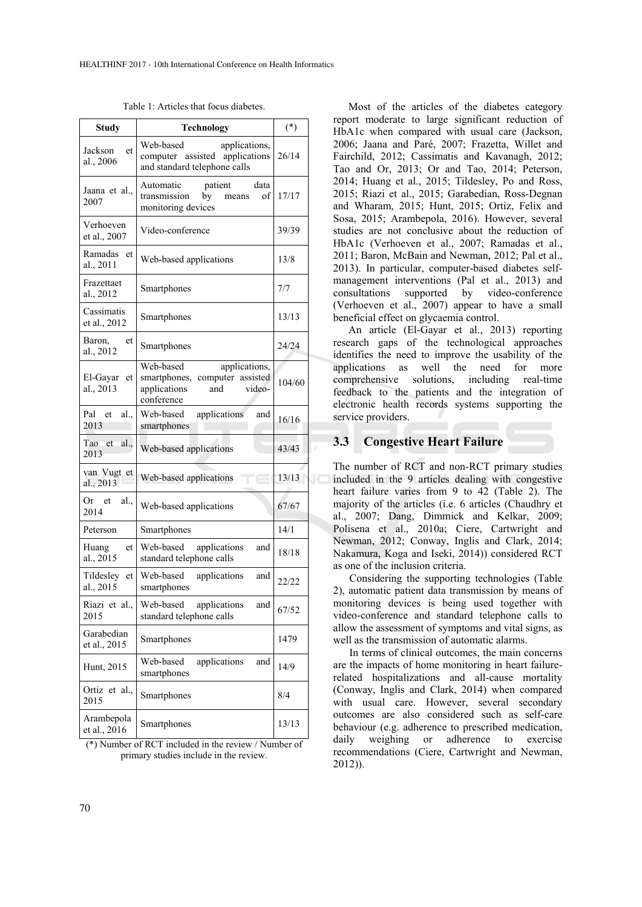| <b>Study</b>                 | <b>Technology</b>                                                                                              | $(*)$  |
|------------------------------|----------------------------------------------------------------------------------------------------------------|--------|
| Jackson<br>et<br>al., 2006   | applications,<br>Web-based<br>computer assisted applications<br>and standard telephone calls                   | 26/14  |
| Jaana et al.,<br>2007        | Automatic<br>data<br>patient<br>by<br>transmission<br>οf<br>means<br>monitoring devices                        | 17/17  |
| Verhoeven<br>et al., 2007    | Video-conference                                                                                               | 39/39  |
| Ramadas<br>et<br>al., 2011   | Web-based applications                                                                                         | 13/8   |
| Frazettaet<br>al., 2012      | Smartphones                                                                                                    | 7/7    |
| Cassimatis<br>et al., 2012   | Smartphones                                                                                                    | 13/13  |
| Baron,<br>et<br>al., 2012    | Smartphones                                                                                                    | 24/24  |
| El-Gayar<br>et<br>al., 2013  | Web-based<br>applications,<br>smartphones,<br>computer assisted<br>applications<br>and<br>video-<br>conference | 104/60 |
| Pal<br>al.<br>et<br>2013     | applications<br>Web-based<br>and<br>smartphones                                                                | 16/16  |
| Tao<br>al.,<br>et<br>2013    | Web-based applications                                                                                         | 43/43  |
| van Vugt et<br>al., 2013     | Web-based applications                                                                                         | 13/13  |
| Or<br>al.,<br>et<br>2014     | Web-based applications                                                                                         | 67/67  |
| Peterson                     | Smartphones                                                                                                    | 14/1   |
| Huang<br>et<br>al., 2015     | Web-based<br>applications<br>and<br>standard telephone calls                                                   | 18/18  |
| Tildesley<br>et<br>al., 2015 | Web-based<br>applications<br>and<br>smartphones                                                                | 22/22  |
| Riazi et al.,<br>2015        | Web-based<br>applications<br>and<br>standard telephone calls                                                   | 67/52  |
| Garabedian<br>et al., 2015   | Smartphones                                                                                                    | 1479   |
| Hunt, 2015                   | applications<br>Web-based<br>and<br>smartphones                                                                | 14/9   |
| Ortiz et al.,<br>2015        | Smartphones                                                                                                    | 8/4    |
| Arambepola<br>et al., 2016   | Smartphones                                                                                                    | 13/13  |

Table 1: Articles that focus diabetes.

(\*) Number of RCT included in the review / Number of primary studies include in the review.

Most of the articles of the diabetes category report moderate to large significant reduction of HbA1c when compared with usual care (Jackson, 2006; Jaana and Paré, 2007; Frazetta, Willet and Fairchild, 2012; Cassimatis and Kavanagh, 2012; Tao and Or, 2013; Or and Tao, 2014; Peterson, 2014; Huang et al., 2015; Tildesley, Po and Ross, 2015; Riazi et al., 2015; Garabedian, Ross-Degnan and Wharam, 2015; Hunt, 2015; Ortiz, Felix and Sosa, 2015; Arambepola, 2016). However, several studies are not conclusive about the reduction of HbA1c (Verhoeven et al., 2007; Ramadas et al., 2011; Baron, McBain and Newman, 2012; Pal et al., 2013). In particular, computer-based diabetes selfmanagement interventions (Pal et al., 2013) and consultations supported by video-conference (Verhoeven et al., 2007) appear to have a small beneficial effect on glycaemia control.

An article (El-Gayar et al., 2013) reporting research gaps of the technological approaches identifies the need to improve the usability of the applications as well the need for more comprehensive solutions, including real-time feedback to the patients and the integration of electronic health records systems supporting the service providers.

### **3.3 Congestive Heart Failure**

The number of RCT and non-RCT primary studies included in the 9 articles dealing with congestive heart failure varies from 9 to 42 (Table 2). The majority of the articles (i.e. 6 articles (Chaudhry et al., 2007; Dang, Dimmick and Kelkar, 2009; Polisena et al., 2010a; Ciere, Cartwright and Newman, 2012; Conway, Inglis and Clark, 2014; Nakamura, Koga and Iseki, 2014)) considered RCT as one of the inclusion criteria.

Considering the supporting technologies (Table 2), automatic patient data transmission by means of monitoring devices is being used together with video-conference and standard telephone calls to allow the assessment of symptoms and vital signs, as well as the transmission of automatic alarms.

In terms of clinical outcomes, the main concerns are the impacts of home monitoring in heart failurerelated hospitalizations and all-cause mortality (Conway, Inglis and Clark, 2014) when compared with usual care. However, several secondary outcomes are also considered such as self-care behaviour (e.g. adherence to prescribed medication, daily weighing or adherence to exercise recommendations (Ciere, Cartwright and Newman, 2012)).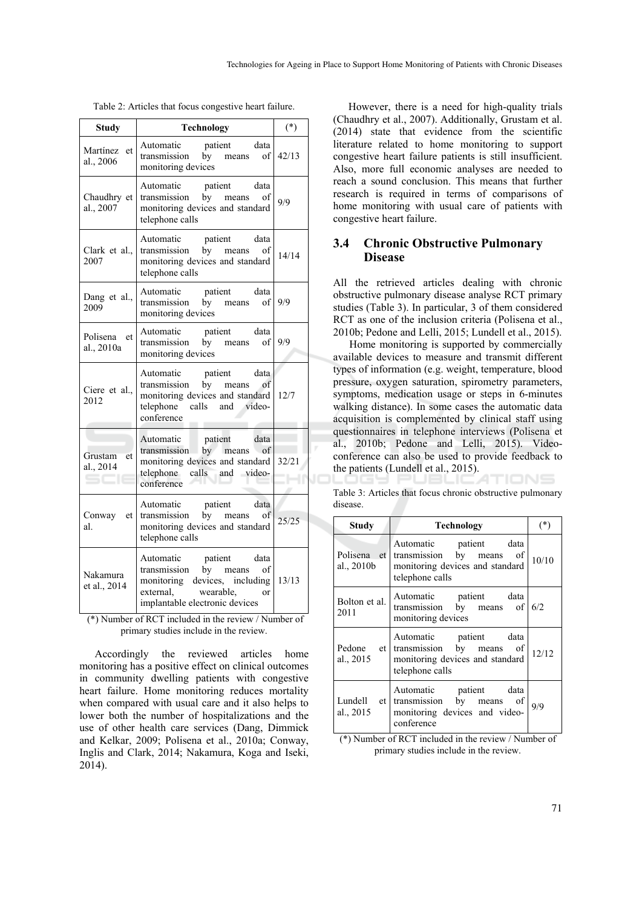| Table 2: Articles that focus congestive heart failure. |  |  |
|--------------------------------------------------------|--|--|
|                                                        |  |  |

| <b>Study</b>               | <b>Technology</b>                                                                                                                                  | $(*)$ |
|----------------------------|----------------------------------------------------------------------------------------------------------------------------------------------------|-------|
| Martínez et<br>al., 2006   | Automatic patient data<br>transmission by means of 42/13<br>monitoring devices                                                                     |       |
| Chaudhry et<br>al., 2007   | Automatic patient data<br>transmission by means of<br>monitoring devices and standard<br>telephone calls                                           | 9/9   |
| Clark et al.,<br>2007      | Automatic<br>patient<br>data<br>transmission by means of<br>monitoring devices and standard<br>telephone calls                                     | 14/14 |
| Dang et al.,<br>2009       | Automatic<br>Automatic patient data<br>transmission by means of 9/9<br>monitoring devices                                                          |       |
| Polisena et<br>al., 2010a  | Automatic<br>Automatic patient data<br>transmission by means of 9/9<br>monitoring devices                                                          |       |
| Ciere et al.,<br>2012      | Automatic patient data<br>transmission by means of<br>monitoring devices and standard 12/7<br>telephone calls and video-<br>conference             |       |
| Grustam<br>et<br>al., 2014 | Automatic patient<br>data<br>transmission by means of<br>monitoring devices and standard 32/21<br>telephone calls and video-<br>conference         |       |
| Conway et<br>al.           | Automatic patient data<br>transmission by means of<br>monitoring devices and standard<br>telephone calls                                           | 25/25 |
| Nakamura<br>et al., 2014   | Automatic patient data<br>transmission by means of<br>monitoring devices, including<br>external, wearable,<br>or<br>implantable electronic devices | 13/13 |

 (\*) Number of RCT included in the review / Number of primary studies include in the review.

Accordingly the reviewed articles home monitoring has a positive effect on clinical outcomes in community dwelling patients with congestive heart failure. Home monitoring reduces mortality when compared with usual care and it also helps to lower both the number of hospitalizations and the use of other health care services (Dang, Dimmick and Kelkar, 2009; Polisena et al., 2010a; Conway, Inglis and Clark, 2014; Nakamura, Koga and Iseki, 2014).

However, there is a need for high-quality trials (Chaudhry et al., 2007). Additionally, Grustam et al. (2014) state that evidence from the scientific literature related to home monitoring to support congestive heart failure patients is still insufficient. Also, more full economic analyses are needed to reach a sound conclusion. This means that further research is required in terms of comparisons of home monitoring with usual care of patients with congestive heart failure.

### **3.4 Chronic Obstructive Pulmonary Disease**

All the retrieved articles dealing with chronic obstructive pulmonary disease analyse RCT primary studies (Table 3). In particular, 3 of them considered RCT as one of the inclusion criteria (Polisena et al., 2010b; Pedone and Lelli, 2015; Lundell et al., 2015).

Home monitoring is supported by commercially available devices to measure and transmit different types of information (e.g. weight, temperature, blood pressure, oxygen saturation, spirometry parameters, symptoms, medication usage or steps in 6-minutes walking distance). In some cases the automatic data acquisition is complemented by clinical staff using questionnaires in telephone interviews (Polisena et al., 2010b; Pedone and Lelli, 2015). Videoconference can also be used to provide feedback to the patients (Lundell et al., 2015).

Table 3: Articles that focus chronic obstructive pulmonary disease.

TIONS

| <b>Study</b>                | <b>Technology</b>                                                                                                  | $(*)$ |
|-----------------------------|--------------------------------------------------------------------------------------------------------------------|-------|
| Polisena et<br>al., $2010b$ | Automatic patient data<br>transmission by means of<br>monitoring devices and standard<br>telephone calls           | 10/10 |
| Bolton et al.<br>2011       | Automatic patient data<br>transmission by means of<br>monitoring devices                                           | 6/2   |
| al., $2015$                 | Automatic patient data<br>Pedone et transmission by means of<br>monitoring devices and standard<br>telephone calls | 12/12 |
| Lundell et<br>al., 2015     | Automatic patient data<br>transmission by means of<br>monitoring devices and video-<br>conference                  | 9/9   |

(\*) Number of RCT included in the review / Number of primary studies include in the review.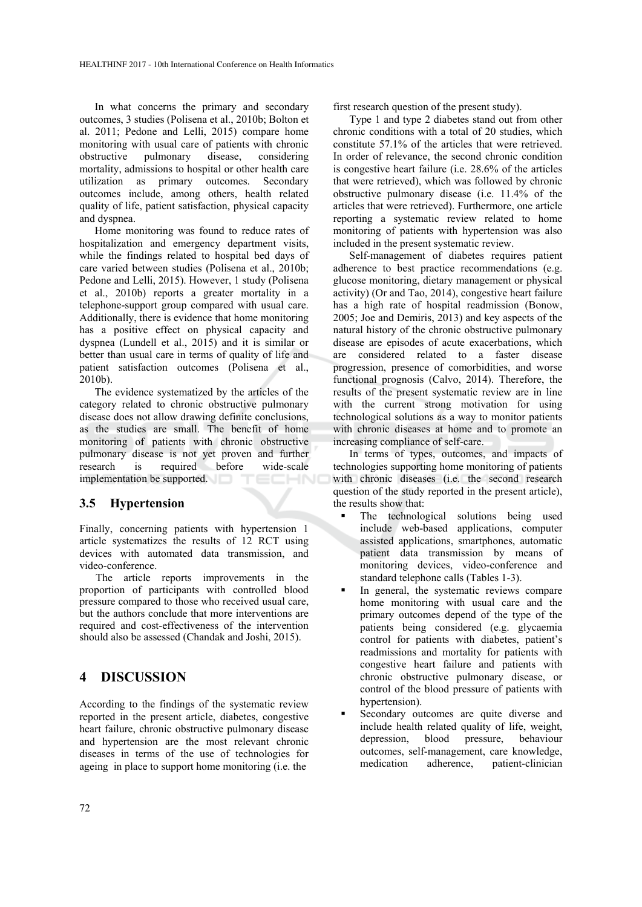In what concerns the primary and secondary outcomes, 3 studies (Polisena et al., 2010b; Bolton et al. 2011; Pedone and Lelli, 2015) compare home monitoring with usual care of patients with chronic obstructive pulmonary disease, considering mortality, admissions to hospital or other health care utilization as primary outcomes. Secondary outcomes include, among others, health related quality of life, patient satisfaction, physical capacity and dyspnea.

Home monitoring was found to reduce rates of hospitalization and emergency department visits, while the findings related to hospital bed days of care varied between studies (Polisena et al., 2010b; Pedone and Lelli, 2015). However, 1 study (Polisena et al., 2010b) reports a greater mortality in a telephone-support group compared with usual care. Additionally, there is evidence that home monitoring has a positive effect on physical capacity and dyspnea (Lundell et al., 2015) and it is similar or better than usual care in terms of quality of life and patient satisfaction outcomes (Polisena et al., 2010b).

The evidence systematized by the articles of the category related to chronic obstructive pulmonary disease does not allow drawing definite conclusions, as the studies are small. The benefit of home monitoring of patients with chronic obstructive pulmonary disease is not yet proven and further research is required before wide-scale implementation be supported. TECHNO

#### **3.5 Hypertension**

Finally, concerning patients with hypertension 1 article systematizes the results of 12 RCT using devices with automated data transmission, and video-conference.

The article reports improvements in the proportion of participants with controlled blood pressure compared to those who received usual care, but the authors conclude that more interventions are required and cost-effectiveness of the intervention should also be assessed (Chandak and Joshi, 2015).

### **4 DISCUSSION**

According to the findings of the systematic review reported in the present article, diabetes, congestive heart failure, chronic obstructive pulmonary disease and hypertension are the most relevant chronic diseases in terms of the use of technologies for ageing in place to support home monitoring (i.e. the

first research question of the present study).

Type 1 and type 2 diabetes stand out from other chronic conditions with a total of 20 studies, which constitute 57.1% of the articles that were retrieved. In order of relevance, the second chronic condition is congestive heart failure (i.e. 28.6% of the articles that were retrieved), which was followed by chronic obstructive pulmonary disease (i.e. 11.4% of the articles that were retrieved). Furthermore, one article reporting a systematic review related to home monitoring of patients with hypertension was also included in the present systematic review.

Self-management of diabetes requires patient adherence to best practice recommendations (e.g. glucose monitoring, dietary management or physical activity) (Or and Tao, 2014), congestive heart failure has a high rate of hospital readmission (Bonow, 2005; Joe and Demiris, 2013) and key aspects of the natural history of the chronic obstructive pulmonary disease are episodes of acute exacerbations, which are considered related to a faster disease progression, presence of comorbidities, and worse functional prognosis (Calvo, 2014). Therefore, the results of the present systematic review are in line with the current strong motivation for using technological solutions as a way to monitor patients with chronic diseases at home and to promote an increasing compliance of self-care.

In terms of types, outcomes, and impacts of technologies supporting home monitoring of patients with chronic diseases (i.e. the second research question of the study reported in the present article), the results show that:

- The technological solutions being used include web-based applications, computer assisted applications, smartphones, automatic patient data transmission by means of monitoring devices, video-conference and standard telephone calls (Tables 1-3).
- In general, the systematic reviews compare home monitoring with usual care and the primary outcomes depend of the type of the patients being considered (e.g. glycaemia control for patients with diabetes, patient's readmissions and mortality for patients with congestive heart failure and patients with chronic obstructive pulmonary disease, or control of the blood pressure of patients with hypertension).
- Secondary outcomes are quite diverse and include health related quality of life, weight,<br>depression, blood pressure, behaviour depression, blood pressure, behaviour outcomes, self-management, care knowledge, medication adherence, patient-clinician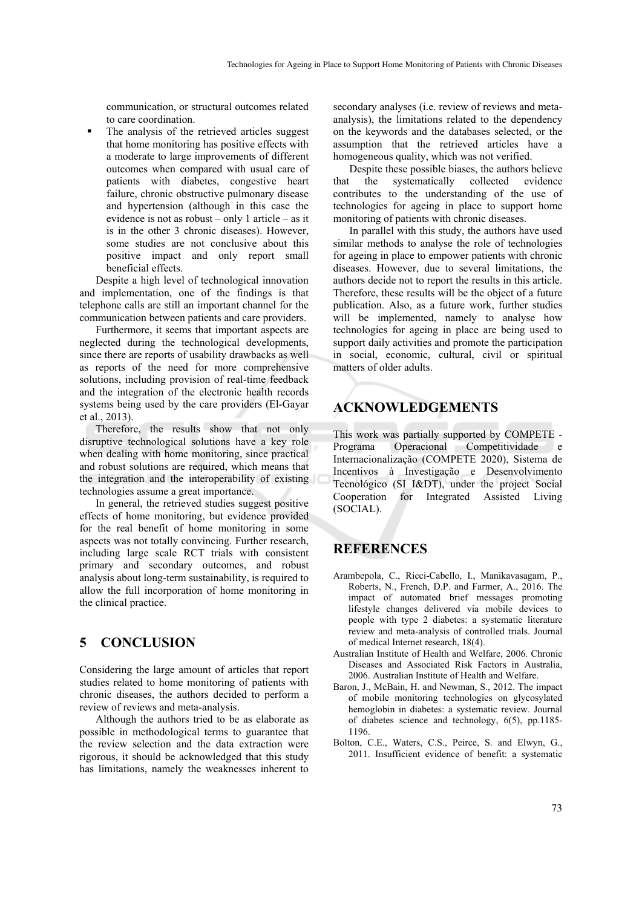communication, or structural outcomes related to care coordination.

 The analysis of the retrieved articles suggest that home monitoring has positive effects with a moderate to large improvements of different outcomes when compared with usual care of patients with diabetes, congestive heart failure, chronic obstructive pulmonary disease and hypertension (although in this case the evidence is not as robust – only 1 article – as it is in the other 3 chronic diseases). However, some studies are not conclusive about this positive impact and only report small beneficial effects.

Despite a high level of technological innovation and implementation, one of the findings is that telephone calls are still an important channel for the communication between patients and care providers.

Furthermore, it seems that important aspects are neglected during the technological developments, since there are reports of usability drawbacks as well as reports of the need for more comprehensive solutions, including provision of real-time feedback and the integration of the electronic health records systems being used by the care providers (El-Gayar et al., 2013).

Therefore, the results show that not only disruptive technological solutions have a key role when dealing with home monitoring, since practical and robust solutions are required, which means that the integration and the interoperability of existing technologies assume a great importance.

In general, the retrieved studies suggest positive effects of home monitoring, but evidence provided for the real benefit of home monitoring in some aspects was not totally convincing. Further research, including large scale RCT trials with consistent primary and secondary outcomes, and robust analysis about long-term sustainability, is required to allow the full incorporation of home monitoring in the clinical practice.

## **5 CONCLUSION**

Considering the large amount of articles that report studies related to home monitoring of patients with chronic diseases, the authors decided to perform a review of reviews and meta-analysis.

Although the authors tried to be as elaborate as possible in methodological terms to guarantee that the review selection and the data extraction were rigorous, it should be acknowledged that this study has limitations, namely the weaknesses inherent to

secondary analyses (i.e. review of reviews and metaanalysis), the limitations related to the dependency on the keywords and the databases selected, or the assumption that the retrieved articles have a homogeneous quality, which was not verified.

Despite these possible biases, the authors believe that the systematically collected evidence contributes to the understanding of the use of technologies for ageing in place to support home monitoring of patients with chronic diseases.

In parallel with this study, the authors have used similar methods to analyse the role of technologies for ageing in place to empower patients with chronic diseases. However, due to several limitations, the authors decide not to report the results in this article. Therefore, these results will be the object of a future publication. Also, as a future work, further studies will be implemented, namely to analyse how technologies for ageing in place are being used to support daily activities and promote the participation in social, economic, cultural, civil or spiritual matters of older adults.

## **ACKNOWLEDGEMENTS**

This work was partially supported by COMPETE - Programa Operacional Competitividade e Internacionalização (COMPETE 2020), Sistema de Incentivos à Investigação e Desenvolvimento Tecnológico (SI I&DT), under the project Social Cooperation for Integrated Assisted Living (SOCIAL).

### **REFERENCES**

- Arambepola, C., Ricci-Cabello, I., Manikavasagam, P., Roberts, N., French, D.P. and Farmer, A., 2016. The impact of automated brief messages promoting lifestyle changes delivered via mobile devices to people with type 2 diabetes: a systematic literature review and meta-analysis of controlled trials. Journal of medical Internet research, 18(4).
- Australian Institute of Health and Welfare, 2006. Chronic Diseases and Associated Risk Factors in Australia, 2006. Australian Institute of Health and Welfare.
- Baron, J., McBain, H. and Newman, S., 2012. The impact of mobile monitoring technologies on glycosylated hemoglobin in diabetes: a systematic review. Journal of diabetes science and technology, 6(5), pp.1185- 1196.
- Bolton, C.E., Waters, C.S., Peirce, S. and Elwyn, G., 2011. Insufficient evidence of benefit: a systematic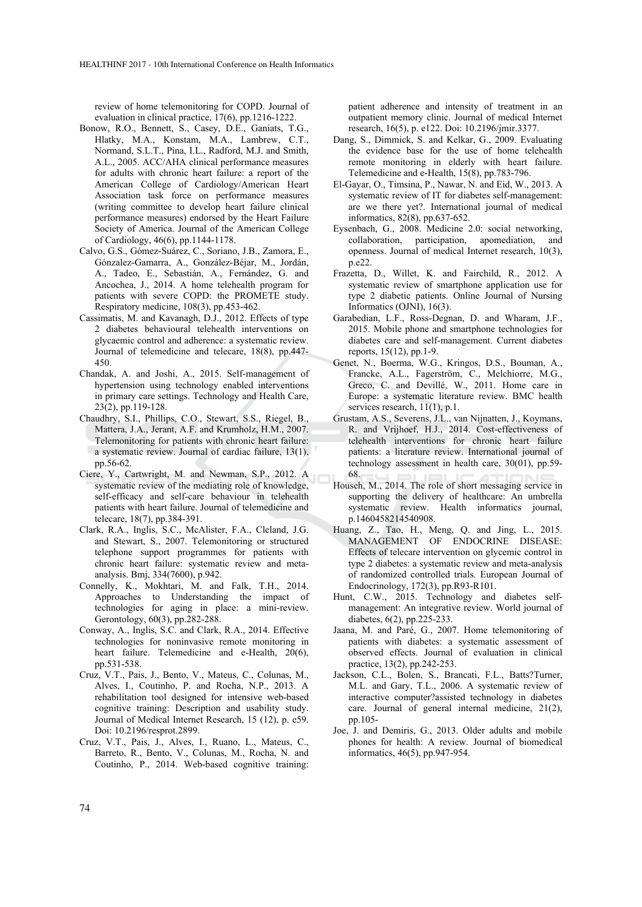review of home telemonitoring for COPD. Journal of evaluation in clinical practice, 17(6), pp.1216-1222.

- Bonow, R.O., Bennett, S., Casey, D.E., Ganiats, T.G., Hlatky, M.A., Konstam, M.A., Lambrew, C.T., Normand, S.L.T., Pina, I.L., Radford, M.J. and Smith, A.L., 2005. ACC/AHA clinical performance measures for adults with chronic heart failure: a report of the American College of Cardiology/American Heart Association task force on performance measures (writing committee to develop heart failure clinical performance measures) endorsed by the Heart Failure Society of America. Journal of the American College of Cardiology, 46(6), pp.1144-1178.
- Calvo, G.S., Gómez-Suárez, C., Soriano, J.B., Zamora, E., Gónzalez-Gamarra, A., González-Béjar, M., Jordán, A., Tadeo, E., Sebastián, A., Fernández, G. and Ancochea, J., 2014. A home telehealth program for patients with severe COPD: the PROMETE study. Respiratory medicine, 108(3), pp.453-462.
- Cassimatis, M. and Kavanagh, D.J., 2012. Effects of type 2 diabetes behavioural telehealth interventions on glycaemic control and adherence: a systematic review. Journal of telemedicine and telecare, 18(8), pp.447- 450.
- Chandak, A. and Joshi, A., 2015. Self-management of hypertension using technology enabled interventions in primary care settings. Technology and Health Care, 23(2), pp.119-128.
- Chaudhry, S.I., Phillips, C.O., Stewart, S.S., Riegel, B., Mattera, J.A., Jerant, A.F. and Krumholz, H.M., 2007. Telemonitoring for patients with chronic heart failure: a systematic review. Journal of cardiac failure, 13(1), pp.56-62.
- Ciere, Y., Cartwright, M. and Newman, S.P., 2012. A systematic review of the mediating role of knowledge, self-efficacy and self-care behaviour in telehealth patients with heart failure. Journal of telemedicine and telecare, 18(7), pp.384-391.
- Clark, R.A., Inglis, S.C., McAlister, F.A., Cleland, J.G. and Stewart, S., 2007. Telemonitoring or structured telephone support programmes for patients with chronic heart failure: systematic review and metaanalysis. Bmj, 334(7600), p.942.
- Connelly, K., Mokhtari, M. and Falk, T.H., 2014. Approaches to Understanding the impact of technologies for aging in place: a mini-review. Gerontology, 60(3), pp.282-288.
- Conway, A., Inglis, S.C. and Clark, R.A., 2014. Effective technologies for noninvasive remote monitoring in heart failure. Telemedicine and e-Health, 20(6), pp.531-538.
- Cruz, V.T., Pais, J., Bento, V., Mateus, C., Colunas, M., Alves, I., Coutinho, P. and Rocha, N.P., 2013. A rehabilitation tool designed for intensive web-based cognitive training: Description and usability study. Journal of Medical Internet Research, 15 (12), p. e59. Doi: 10.2196/resprot.2899.
- Cruz, V.T., Pais, J., Alves, I., Ruano, L., Mateus, C., Barreto, R., Bento, V., Colunas, M., Rocha, N. and Coutinho, P., 2014. Web-based cognitive training:

patient adherence and intensity of treatment in an outpatient memory clinic. Journal of medical Internet research, 16(5), p. e122. Doi: 10.2196/jmir.3377.

- Dang, S., Dimmick, S. and Kelkar, G., 2009. Evaluating the evidence base for the use of home telehealth remote monitoring in elderly with heart failure. Telemedicine and e-Health, 15(8), pp.783-796.
- El-Gayar, O., Timsina, P., Nawar, N. and Eid, W., 2013. A systematic review of IT for diabetes self-management: are we there yet?. International journal of medical informatics, 82(8), pp.637-652.
- Eysenbach, G., 2008. Medicine 2.0: social networking, collaboration, participation, apomediation, and openness. Journal of medical Internet research, 10(3), p.e22.
- Frazetta, D., Willet, K. and Fairchild, R., 2012. A systematic review of smartphone application use for type 2 diabetic patients. Online Journal of Nursing Informatics (OJNI), 16(3).
- Garabedian, L.F., Ross-Degnan, D. and Wharam, J.F., 2015. Mobile phone and smartphone technologies for diabetes care and self-management. Current diabetes reports, 15(12), pp.1-9.
- Genet, N., Boerma, W.G., Kringos, D.S., Bouman, A., Francke, A.L., Fagerström, C., Melchiorre, M.G., Greco, C. and Devillé, W., 2011. Home care in Europe: a systematic literature review. BMC health services research,  $11(1)$ , p.1.
- Grustam, A.S., Severens, J.L., van Nijnatten, J., Koymans, R. and Vrijhoef, H.J., 2014. Cost-effectiveness of telehealth interventions for chronic heart failure patients: a literature review. International journal of technology assessment in health care, 30(01), pp.59- 68.
- Househ, M., 2014. The role of short messaging service in supporting the delivery of healthcare: An umbrella systematic review. Health informatics journal, p.1460458214540908.
- Huang, Z., Tao, H., Meng, Q. and Jing, L., 2015. MANAGEMENT OF ENDOCRINE DISEASE: Effects of telecare intervention on glycemic control in type 2 diabetes: a systematic review and meta-analysis of randomized controlled trials. European Journal of Endocrinology, 172(3), pp.R93-R101.
- Hunt, C.W., 2015. Technology and diabetes selfmanagement: An integrative review. World journal of diabetes, 6(2), pp.225-233.
- Jaana, M. and Paré, G., 2007. Home telemonitoring of patients with diabetes: a systematic assessment of observed effects. Journal of evaluation in clinical practice, 13(2), pp.242-253.
- Jackson, C.L., Bolen, S., Brancati, F.L., Batts?Turner, M.L. and Gary, T.L., 2006. A systematic review of interactive computer?assisted technology in diabetes care. Journal of general internal medicine, 21(2), pp.105-
- Joe, J. and Demiris, G., 2013. Older adults and mobile phones for health: A review. Journal of biomedical informatics, 46(5), pp.947-954.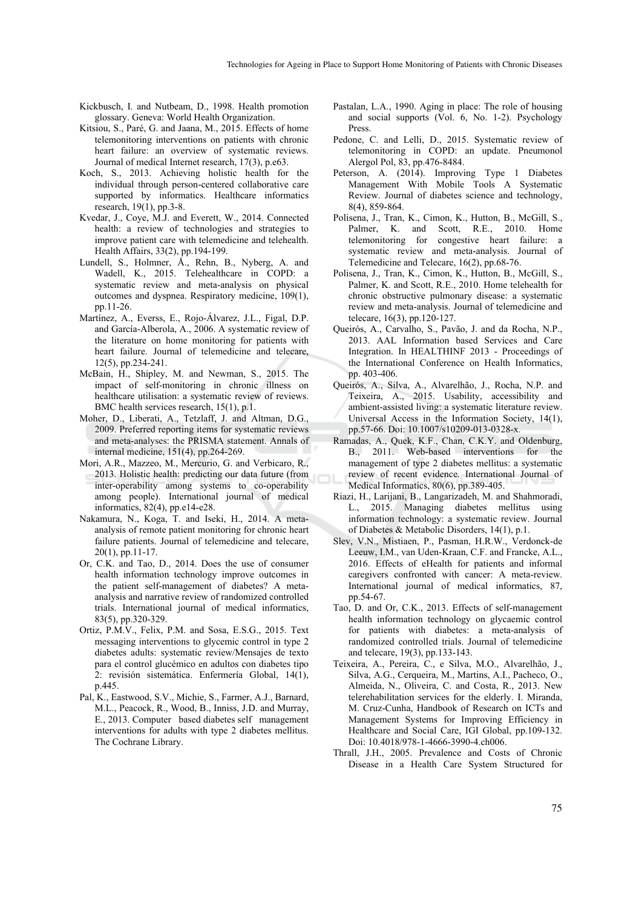- Kickbusch, I. and Nutbeam, D., 1998. Health promotion glossary. Geneva: World Health Organization.
- Kitsiou, S., Paré, G. and Jaana, M., 2015. Effects of home telemonitoring interventions on patients with chronic heart failure: an overview of systematic reviews. Journal of medical Internet research, 17(3), p.e63.
- Koch, S., 2013. Achieving holistic health for the individual through person-centered collaborative care supported by informatics. Healthcare informatics research, 19(1), pp.3-8.
- Kvedar, J., Coye, M.J. and Everett, W., 2014. Connected health: a review of technologies and strategies to improve patient care with telemedicine and telehealth. Health Affairs, 33(2), pp.194-199.
- Lundell, S., Holmner, Å., Rehn, B., Nyberg, A. and Wadell, K., 2015. Telehealthcare in COPD: a systematic review and meta-analysis on physical outcomes and dyspnea. Respiratory medicine, 109(1), pp.11-26.
- Martínez, A., Everss, E., Rojo-Álvarez, J.L., Figal, D.P. and García-Alberola, A., 2006. A systematic review of the literature on home monitoring for patients with heart failure. Journal of telemedicine and telecare, 12(5), pp.234-241.
- McBain, H., Shipley, M. and Newman, S., 2015. The impact of self-monitoring in chronic illness on healthcare utilisation: a systematic review of reviews. BMC health services research, 15(1), p.1.
- Moher, D., Liberati, A., Tetzlaff, J. and Altman, D.G., 2009. Preferred reporting items for systematic reviews and meta-analyses: the PRISMA statement. Annals of internal medicine, 151(4), pp.264-269.
- Mori, A.R., Mazzeo, M., Mercurio, G. and Verbicaro, R., 2013. Holistic health: predicting our data future (from inter-operability among systems to co-operability among people). International journal of medical informatics, 82(4), pp.e14-e28.
- Nakamura, N., Koga, T. and Iseki, H., 2014. A metaanalysis of remote patient monitoring for chronic heart failure patients. Journal of telemedicine and telecare, 20(1), pp.11-17.
- Or, C.K. and Tao, D., 2014. Does the use of consumer health information technology improve outcomes in the patient self-management of diabetes? A metaanalysis and narrative review of randomized controlled trials. International journal of medical informatics, 83(5), pp.320-329.
- Ortiz, P.M.V., Felix, P.M. and Sosa, E.S.G., 2015. Text messaging interventions to glycemic control in type 2 diabetes adults: systematic review/Mensajes de texto para el control glucémico en adultos con diabetes tipo 2: revisión sistemática. Enfermería Global, 14(1), p.445.
- Pal, K., Eastwood, S.V., Michie, S., Farmer, A.J., Barnard, M.L., Peacock, R., Wood, B., Inniss, J.D. and Murray, E., 2013. Computer based diabetes self management interventions for adults with type 2 diabetes mellitus. The Cochrane Library.
- Pastalan, L.A., 1990. Aging in place: The role of housing and social supports (Vol. 6, No. 1-2). Psychology Press.
- Pedone, C. and Lelli, D., 2015. Systematic review of telemonitoring in COPD: an update. Pneumonol Alergol Pol, 83, pp.476-8484.
- Peterson, A. (2014). Improving Type 1 Diabetes Management With Mobile Tools A Systematic Review. Journal of diabetes science and technology, 8(4), 859-864.
- Polisena, J., Tran, K., Cimon, K., Hutton, B., McGill, S., Palmer, K. and Scott, R.E., 2010. Home telemonitoring for congestive heart failure: a systematic review and meta-analysis. Journal of Telemedicine and Telecare, 16(2), pp.68-76.
- Polisena, J., Tran, K., Cimon, K., Hutton, B., McGill, S., Palmer, K. and Scott, R.E., 2010. Home telehealth for chronic obstructive pulmonary disease: a systematic review and meta-analysis. Journal of telemedicine and telecare, 16(3), pp.120-127.
- Queirós, A., Carvalho, S., Pavão, J. and da Rocha, N.P., 2013. AAL Information based Services and Care Integration. In HEALTHINF 2013 - Proceedings of the International Conference on Health Informatics, pp. 403-406.
- Queirós, A., Silva, A., Alvarelhão, J., Rocha, N.P. and Teixeira, A., 2015. Usability, accessibility and ambient-assisted living: a systematic literature review. Universal Access in the Information Society, 14(1), pp.57-66. Doi: 10.1007/s10209-013-0328-x.
- Ramadas, A., Quek, K.F., Chan, C.K.Y. and Oldenburg, B., 2011. Web-based interventions for the management of type 2 diabetes mellitus: a systematic review of recent evidence. International Journal of Medical Informatics, 80(6), pp.389-405.
- Riazi, H., Larijani, B., Langarizadeh, M. and Shahmoradi, L., 2015. Managing diabetes mellitus using information technology: a systematic review. Journal of Diabetes & Metabolic Disorders, 14(1), p.1.
- Slev, V.N., Mistiaen, P., Pasman, H.R.W., Verdonck-de Leeuw, I.M., van Uden-Kraan, C.F. and Francke, A.L., 2016. Effects of eHealth for patients and informal caregivers confronted with cancer: A meta-review. International journal of medical informatics, 87, pp.54-67.
- Tao, D. and Or, C.K., 2013. Effects of self-management health information technology on glycaemic control for patients with diabetes: a meta-analysis of randomized controlled trials. Journal of telemedicine and telecare, 19(3), pp.133-143.
- Teixeira, A., Pereira, C., e Silva, M.O., Alvarelhão, J., Silva, A.G., Cerqueira, M., Martins, A.I., Pacheco, O., Almeida, N., Oliveira, C. and Costa, R., 2013. New telerehabilitation services for the elderly. I. Miranda, M. Cruz-Cunha, Handbook of Research on ICTs and Management Systems for Improving Efficiency in Healthcare and Social Care, IGI Global, pp.109-132. Doi: 10.4018/978-1-4666-3990-4.ch006.
- Thrall, J.H., 2005. Prevalence and Costs of Chronic Disease in a Health Care System Structured for